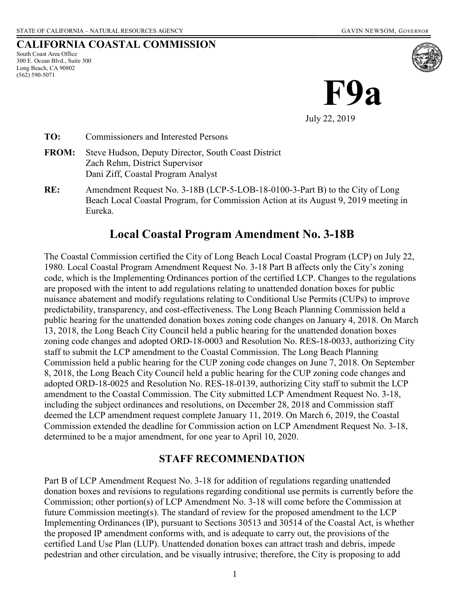**CALIFORNIA COASTAL COMMISSION**

South Coast Area Office 300 E. Ocean Blvd., Suite 300 Long Beach, CA 90802 (562) 590-5071



**TO:** Commissioners and Interested Persons

- **FROM:** Steve Hudson, Deputy Director, South Coast District Zach Rehm, District Supervisor Dani Ziff, Coastal Program Analyst
- **RE:** Amendment Request No. 3-18B (LCP-5-LOB-18-0100-3-Part B) to the City of Long Beach Local Coastal Program, for Commission Action at its August 9, 2019 meeting in Eureka.

# **Local Coastal Program Amendment No. 3-18B**

The Coastal Commission certified the City of Long Beach Local Coastal Program (LCP) on July 22, 1980. Local Coastal Program Amendment Request No. 3-18 Part B affects only the City's zoning code, which is the Implementing Ordinances portion of the certified LCP. Changes to the regulations are proposed with the intent to add regulations relating to unattended donation boxes for public nuisance abatement and modify regulations relating to Conditional Use Permits (CUPs) to improve predictability, transparency, and cost-effectiveness. The Long Beach Planning Commission held a public hearing for the unattended donation boxes zoning code changes on January 4, 2018. On March 13, 2018, the Long Beach City Council held a public hearing for the unattended donation boxes zoning code changes and adopted ORD-18-0003 and Resolution No. RES-18-0033, authorizing City staff to submit the LCP amendment to the Coastal Commission. The Long Beach Planning Commission held a public hearing for the CUP zoning code changes on June 7, 2018. On September 8, 2018, the Long Beach City Council held a public hearing for the CUP zoning code changes and adopted ORD-18-0025 and Resolution No. RES-18-0139, authorizing City staff to submit the LCP amendment to the Coastal Commission. The City submitted LCP Amendment Request No. 3-18, including the subject ordinances and resolutions, on December 28, 2018 and Commission staff deemed the LCP amendment request complete January 11, 2019. On March 6, 2019, the Coastal Commission extended the deadline for Commission action on LCP Amendment Request No. 3-18, determined to be a major amendment, for one year to April 10, 2020.

## **STAFF RECOMMENDATION**

Part B of LCP Amendment Request No. 3-18 for addition of regulations regarding unattended donation boxes and revisions to regulations regarding conditional use permits is currently before the Commission; other portion(s) of LCP Amendment No. 3-18 will come before the Commission at future Commission meeting(s). The standard of review for the proposed amendment to the LCP Implementing Ordinances (IP), pursuant to Sections 30513 and 30514 of the Coastal Act, is whether the proposed IP amendment conforms with, and is adequate to carry out, the provisions of the certified Land Use Plan (LUP). Unattended donation boxes can attract trash and debris, impede pedestrian and other circulation, and be visually intrusive; therefore, the City is proposing to add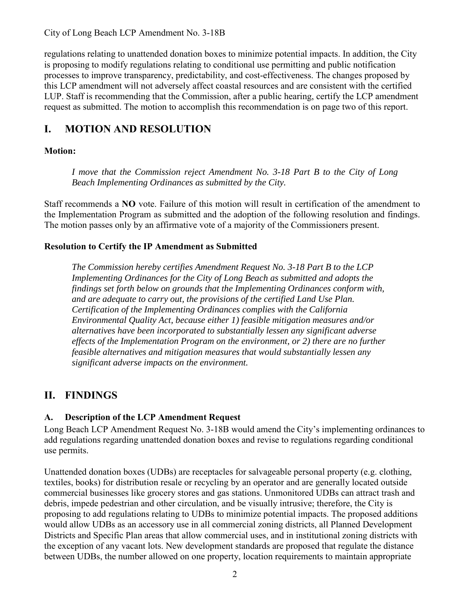City of Long Beach LCP Amendment No. 3-18B

regulations relating to unattended donation boxes to minimize potential impacts. In addition, the City is proposing to modify regulations relating to conditional use permitting and public notification processes to improve transparency, predictability, and cost-effectiveness. The changes proposed by this LCP amendment will not adversely affect coastal resources and are consistent with the certified LUP. Staff is recommending that the Commission, after a public hearing, certify the LCP amendment request as submitted. The motion to accomplish this recommendation is on page two of this report.

# **I. MOTION AND RESOLUTION**

## **Motion:**

*I move that the Commission reject Amendment No. 3-18 Part B to the City of Long Beach Implementing Ordinances as submitted by the City.* 

Staff recommends a **NO** vote. Failure of this motion will result in certification of the amendment to the Implementation Program as submitted and the adoption of the following resolution and findings. The motion passes only by an affirmative vote of a majority of the Commissioners present.

### **Resolution to Certify the IP Amendment as Submitted**

*The Commission hereby certifies Amendment Request No. 3-18 Part B to the LCP Implementing Ordinances for the City of Long Beach as submitted and adopts the findings set forth below on grounds that the Implementing Ordinances conform with, and are adequate to carry out, the provisions of the certified Land Use Plan. Certification of the Implementing Ordinances complies with the California Environmental Quality Act, because either 1) feasible mitigation measures and/or alternatives have been incorporated to substantially lessen any significant adverse effects of the Implementation Program on the environment, or 2) there are no further feasible alternatives and mitigation measures that would substantially lessen any significant adverse impacts on the environment.* 

# **II. FINDINGS**

## **A. Description of the LCP Amendment Request**

Long Beach LCP Amendment Request No. 3-18B would amend the City's implementing ordinances to add regulations regarding unattended donation boxes and revise to regulations regarding conditional use permits.

Unattended donation boxes (UDBs) are receptacles for salvageable personal property (e.g. clothing, textiles, books) for distribution resale or recycling by an operator and are generally located outside commercial businesses like grocery stores and gas stations. Unmonitored UDBs can attract trash and debris, impede pedestrian and other circulation, and be visually intrusive; therefore, the City is proposing to add regulations relating to UDBs to minimize potential impacts. The proposed additions would allow UDBs as an accessory use in all commercial zoning districts, all Planned Development Districts and Specific Plan areas that allow commercial uses, and in institutional zoning districts with the exception of any vacant lots. New development standards are proposed that regulate the distance between UDBs, the number allowed on one property, location requirements to maintain appropriate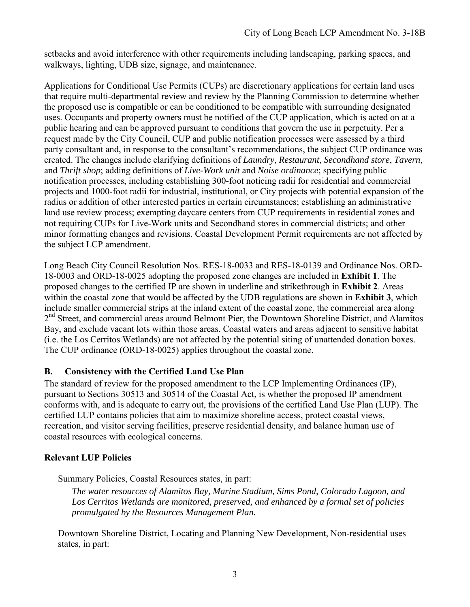setbacks and avoid interference with other requirements including landscaping, parking spaces, and walkways, lighting, UDB size, signage, and maintenance.

Applications for Conditional Use Permits (CUPs) are discretionary applications for certain land uses that require multi-departmental review and review by the Planning Commission to determine whether the proposed use is compatible or can be conditioned to be compatible with surrounding designated uses. Occupants and property owners must be notified of the CUP application, which is acted on at a public hearing and can be approved pursuant to conditions that govern the use in perpetuity. Per a request made by the City Council, CUP and public notification processes were assessed by a third party consultant and, in response to the consultant's recommendations, the subject CUP ordinance was created. The changes include clarifying definitions of *Laundry*, *Restaurant*, *Secondhand store*, *Tavern*, and *Thrift shop*; adding definitions of *Live-Work unit* and *Noise ordinance*; specifying public notification processes, including establishing 300-foot noticing radii for residential and commercial projects and 1000-foot radii for industrial, institutional, or City projects with potential expansion of the radius or addition of other interested parties in certain circumstances; establishing an administrative land use review process; exempting daycare centers from CUP requirements in residential zones and not requiring CUPs for Live-Work units and Secondhand stores in commercial districts; and other minor formatting changes and revisions. Coastal Development Permit requirements are not affected by the subject LCP amendment.

Long Beach City Council Resolution Nos. RES-18-0033 and RES-18-0139 and Ordinance Nos. ORD-18-0003 and ORD-18-0025 adopting the proposed zone changes are included in **[Exhibit 1](https://documents.coastal.ca.gov/reports/2019/8/f5a/f5a-8-2019-exhibits.pdf)**. The proposed changes to the certified IP are shown in underline and strikethrough in **[Exhibit 2](https://documents.coastal.ca.gov/reports/2019/8/f5a/f5a-8-2019-exhibits.pdf)**. Areas within the coastal zone that would be affected by the UDB regulations are shown in **[Exhibit 3](https://documents.coastal.ca.gov/reports/2019/8/f5a/f5a-8-2019-exhibits.pdf)**, which include smaller commercial strips at the inland extent of the coastal zone, the commercial area along 2<sup>nd</sup> Street, and commercial areas around Belmont Pier, the Downtown Shoreline District, and Alamitos Bay, and exclude vacant lots within those areas. Coastal waters and areas adjacent to sensitive habitat (i.e. the Los Cerritos Wetlands) are not affected by the potential siting of unattended donation boxes. The CUP ordinance (ORD-18-0025) applies throughout the coastal zone.

### **B. Consistency with the Certified Land Use Plan**

The standard of review for the proposed amendment to the LCP Implementing Ordinances (IP), pursuant to Sections 30513 and 30514 of the Coastal Act, is whether the proposed IP amendment conforms with, and is adequate to carry out, the provisions of the certified Land Use Plan (LUP). The certified LUP contains policies that aim to maximize shoreline access, protect coastal views, recreation, and visitor serving facilities, preserve residential density, and balance human use of coastal resources with ecological concerns.

### **Relevant LUP Policies**

Summary Policies, Coastal Resources states, in part:

*The water resources of Alamitos Bay, Marine Stadium, Sims Pond, Colorado Lagoon, and Los Cerritos Wetlands are monitored, preserved, and enhanced by a formal set of policies promulgated by the Resources Management Plan.*

Downtown Shoreline District, Locating and Planning New Development, Non-residential uses states, in part: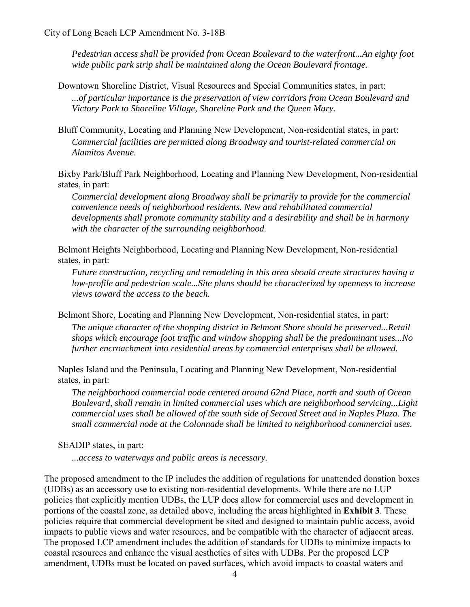*Pedestrian access shall be provided from Ocean Boulevard to the waterfront...An eighty foot wide public park strip shall be maintained along the Ocean Boulevard frontage.*

Downtown Shoreline District, Visual Resources and Special Communities states, in part: *...of particular importance is the preservation of view corridors from Ocean Boulevard and Victory Park to Shoreline Village, Shoreline Park and the Queen Mary.*

Bluff Community, Locating and Planning New Development, Non-residential states, in part: *Commercial facilities are permitted along Broadway and tourist-related commercial on Alamitos Avenue.*

Bixby Park/Bluff Park Neighborhood, Locating and Planning New Development, Non-residential states, in part:

*Commercial development along Broadway shall be primarily to provide for the commercial convenience needs of neighborhood residents. New and rehabilitated commercial developments shall promote community stability and a desirability and shall be in harmony with the character of the surrounding neighborhood.*

Belmont Heights Neighborhood, Locating and Planning New Development, Non-residential states, in part:

*Future construction, recycling and remodeling in this area should create structures having a low-profile and pedestrian scale...Site plans should be characterized by openness to increase views toward the access to the beach.*

Belmont Shore, Locating and Planning New Development, Non-residential states, in part:

*The unique character of the shopping district in Belmont Shore should be preserved...Retail shops which encourage foot traffic and window shopping shall be the predominant uses...No further encroachment into residential areas by commercial enterprises shall be allowed.*

Naples Island and the Peninsula, Locating and Planning New Development, Non-residential states, in part:

*The neighborhood commercial node centered around 62nd Place, north and south of Ocean Boulevard, shall remain in limited commercial uses which are neighborhood servicing...Light commercial uses shall be allowed of the south side of Second Street and in Naples Plaza. The small commercial node at the Colonnade shall be limited to neighborhood commercial uses.*

SEADIP states, in part:

*...access to waterways and public areas is necessary.*

The proposed amendment to the IP includes the addition of regulations for unattended donation boxes (UDBs) as an accessory use to existing non-residential developments. While there are no LUP policies that explicitly mention UDBs, the LUP does allow for commercial uses and development in portions of the coastal zone, as detailed above, including the areas highlighted in **[Exhibit 3](https://documents.coastal.ca.gov/reports/2019/8/f5a/f5a-8-2019-exhibits.pdf)**. These policies require that commercial development be sited and designed to maintain public access, avoid impacts to public views and water resources, and be compatible with the character of adjacent areas. The proposed LCP amendment includes the addition of standards for UDBs to minimize impacts to coastal resources and enhance the visual aesthetics of sites with UDBs. Per the proposed LCP amendment, UDBs must be located on paved surfaces, which avoid impacts to coastal waters and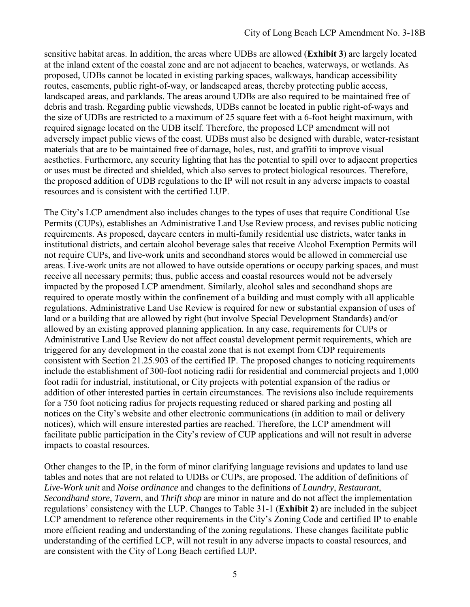sensitive habitat areas. In addition, the areas where UDBs are allowed (**[Exhibit 3](https://documents.coastal.ca.gov/reports/2019/8/f5a/f5a-8-2019-exhibits.pdf)**) are largely located at the inland extent of the coastal zone and are not adjacent to beaches, waterways, or wetlands. As proposed, UDBs cannot be located in existing parking spaces, walkways, handicap accessibility routes, easements, public right-of-way, or landscaped areas, thereby protecting public access, landscaped areas, and parklands. The areas around UDBs are also required to be maintained free of debris and trash. Regarding public viewsheds, UDBs cannot be located in public right-of-ways and the size of UDBs are restricted to a maximum of 25 square feet with a 6-foot height maximum, with required signage located on the UDB itself. Therefore, the proposed LCP amendment will not adversely impact public views of the coast. UDBs must also be designed with durable, water-resistant materials that are to be maintained free of damage, holes, rust, and graffiti to improve visual aesthetics. Furthermore, any security lighting that has the potential to spill over to adjacent properties or uses must be directed and shielded, which also serves to protect biological resources. Therefore, the proposed addition of UDB regulations to the IP will not result in any adverse impacts to coastal resources and is consistent with the certified LUP.

The City's LCP amendment also includes changes to the types of uses that require Conditional Use Permits (CUPs), establishes an Administrative Land Use Review process, and revises public noticing requirements. As proposed, daycare centers in multi-family residential use districts, water tanks in institutional districts, and certain alcohol beverage sales that receive Alcohol Exemption Permits will not require CUPs, and live-work units and secondhand stores would be allowed in commercial use areas. Live-work units are not allowed to have outside operations or occupy parking spaces, and must receive all necessary permits; thus, public access and coastal resources would not be adversely impacted by the proposed LCP amendment. Similarly, alcohol sales and secondhand shops are required to operate mostly within the confinement of a building and must comply with all applicable regulations. Administrative Land Use Review is required for new or substantial expansion of uses of land or a building that are allowed by right (but involve Special Development Standards) and/or allowed by an existing approved planning application. In any case, requirements for CUPs or Administrative Land Use Review do not affect coastal development permit requirements, which are triggered for any development in the coastal zone that is not exempt from CDP requirements consistent with Section 21.25.903 of the certified IP. The proposed changes to noticing requirements include the establishment of 300-foot noticing radii for residential and commercial projects and 1,000 foot radii for industrial, institutional, or City projects with potential expansion of the radius or addition of other interested parties in certain circumstances. The revisions also include requirements for a 750 foot noticing radius for projects requesting reduced or shared parking and posting all notices on the City's website and other electronic communications (in addition to mail or delivery notices), which will ensure interested parties are reached. Therefore, the LCP amendment will facilitate public participation in the City's review of CUP applications and will not result in adverse impacts to coastal resources.

Other changes to the IP, in the form of minor clarifying language revisions and updates to land use tables and notes that are not related to UDBs or CUPs, are proposed. The addition of definitions of *Live-Work unit* and *Noise ordinance* and changes to the definitions of *Laundry*, *Restaurant*, *Secondhand store*, *Tavern*, and *Thrift shop* are minor in nature and do not affect the implementation regulations' consistency with the LUP. Changes to Table 31-1 (**[Exhibit 2](https://documents.coastal.ca.gov/reports/2019/8/f5a/f5a-8-2019-exhibits.pdf)**) are included in the subject LCP amendment to reference other requirements in the City's Zoning Code and certified IP to enable more efficient reading and understanding of the zoning regulations. These changes facilitate public understanding of the certified LCP, will not result in any adverse impacts to coastal resources, and are consistent with the City of Long Beach certified LUP.